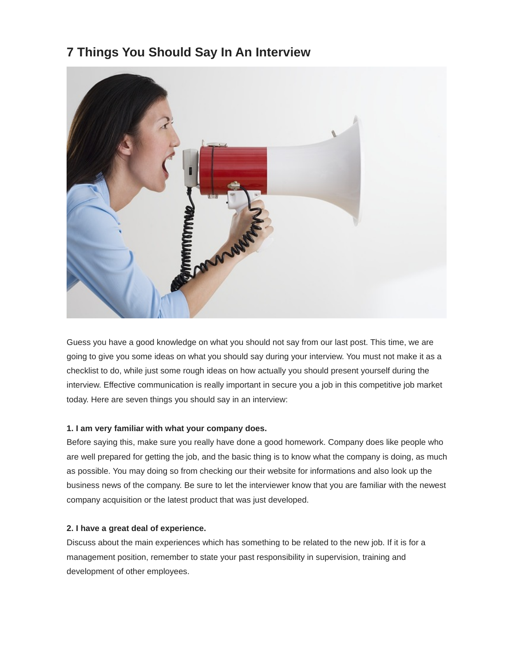# **7 Things You Should Say In An Interview**



Guess you have a good knowledge on what you should not say from our last post. This time, we are going to give you some ideas on what you should say during your interview. You must not make it as a checklist to do, while just some rough ideas on how actually you should present yourself during the interview. Effective communication is really important in secure you a job in this competitive job market today. Here are seven things you should say in an interview:

#### **1. I am very familiar with what your company does.**

Before saying this, make sure you really have done a good homework. Company does like people who are well prepared for getting the job, and the basic thing is to know what the company is doing, as much as possible. You may doing so from checking our their website for informations and also look up the business news of the company. Be sure to let the interviewer know that you are familiar with the newest company acquisition or the latest product that was just developed.

#### **2. I have a great deal of experience.**

Discuss about the main experiences which has something to be related to the new job. If it is for a management position, remember to state your past responsibility in supervision, training and development of other employees.